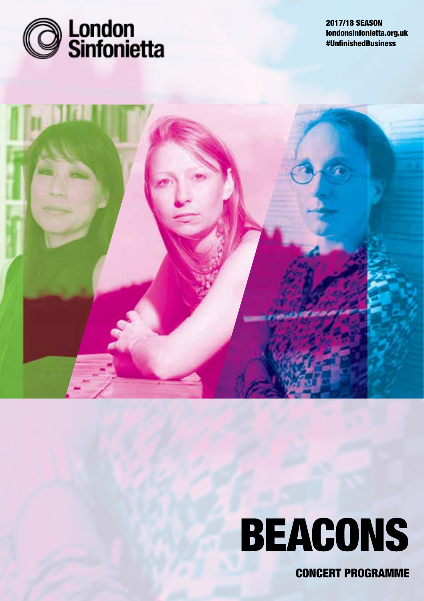

2017/18 SEASON londonsinfonietta.org.uk #UnfinishedBusiness



# **BEACONS**

Concert Programme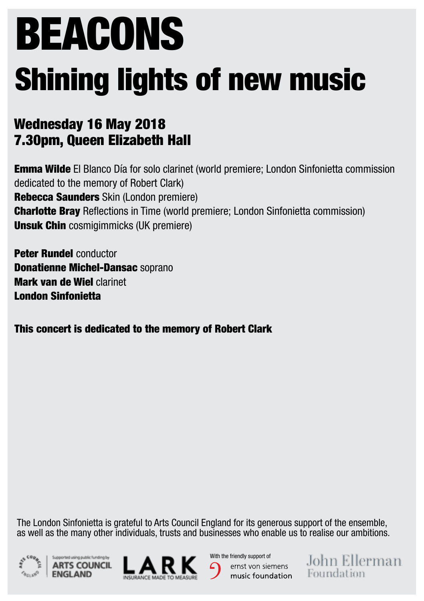# Beacons Shining lights of new music

## Wednesday 16 May 2018 7.30pm, Queen Elizabeth Hall

Emma Wilde El Blanco Día for solo clarinet (world premiere; London Sinfonietta commission dedicated to the memory of Robert Clark) Rebecca Saunders Skin (London premiere) Charlotte Bray Reflections in Time (world premiere; London Sinfonietta commission) **Unsuk Chin** cosmigimmicks (UK premiere)

Peter Rundel conductor Donatienne Michel-Dansac soprano Mark van de Wiel clarinet London Sinfonietta

This concert is dedicated to the memory of Robert Clark

The London Sinfonietta is grateful to Arts Council England for its generous support of the ensemble, as well as the many other individuals, trusts and businesses who enable us to realise our ambitions.







With the friendly support of ernst von siemens music foundation John Ellerman Foundation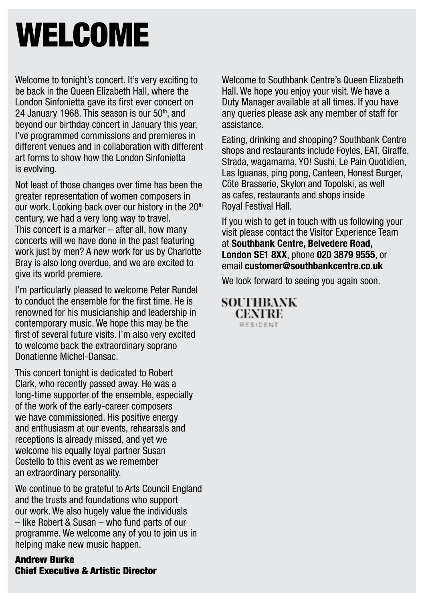# WELCOME

Welcome to tonight's concert. It's very exciting to be back in the Queen Elizabeth Hall, where the London Sinfonietta gave its first ever concert on 24 January 1968. This season is our  $50<sup>th</sup>$  and beyond our birthday concert in January this year, I've programmed commissions and premieres in different venues and in collaboration with different art forms to show how the London Sinfonietta is evolving.

Not least of those changes over time has been the greater representation of women composers in our work. Looking back over our history in the 20<sup>th</sup> century, we had a very long way to travel. This concert is a marker – after all, how many concerts will we have done in the past featuring work just by men? A new work for us by Charlotte Bray is also long overdue, and we are excited to give its world premiere.

I'm particularly pleased to welcome Peter Rundel to conduct the ensemble for the first time. He is renowned for his musicianship and leadership in contemporary music. We hope this may be the first of several future visits. I'm also very excited to welcome back the extraordinary soprano Donatienne Michel-Dansac.

This concert tonight is dedicated to Robert Clark, who recently passed away. He was a long-time supporter of the ensemble, especially of the work of the early-career composers we have commissioned. His positive energy and enthusiasm at our events, rehearsals and receptions is already missed, and yet we welcome his equally loyal partner Susan Costello to this event as we remember an extraordinary personality.

We continue to be grateful to Arts Council England and the trusts and foundations who support our work. We also hugely value the individuals – like Robert & Susan – who fund parts of our programme. We welcome any of you to join us in helping make new music happen.

Andrew Burke Chief Executive & Artistic Director Welcome to Southbank Centre's Queen Elizabeth Hall. We hope you enjoy your visit. We have a Duty Manager available at all times. If you have any queries please ask any member of staff for assistance.

Eating, drinking and shopping? Southbank Centre shops and restaurants include Foyles, EAT, Giraffe, Strada, wagamama, YO! Sushi, Le Pain Quotidien, Las Iguanas, ping pong, Canteen, Honest Burger, Côte Brasserie, Skylon and Topolski, as well as cafes, restaurants and shops inside Royal Festival Hall.

If you wish to get in touch with us following your visit please contact the Visitor Experience Team at **Southbank Centre, Belvedere Road, London SE1 8XX**, phone **020 3879 9555**, or email **customer@southbankcentre.co.uk**

We look forward to seeing you again soon.

**SOUTHRANK CENTRE** RESIDENT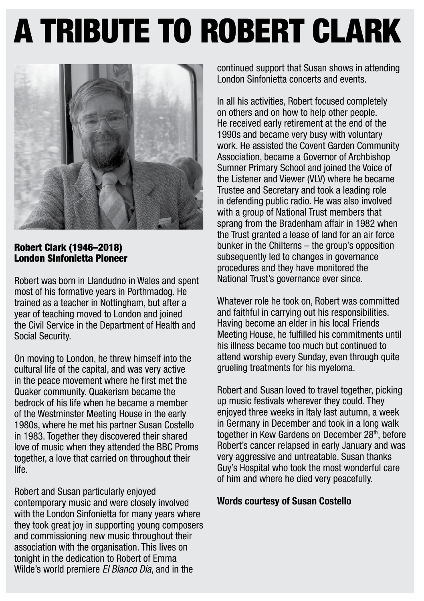# A TRIBUTE to robert clark



Robert Clark (1946–2018) London Sinfonietta Pioneer

Robert was born in Llandudno in Wales and spent most of his formative years in Porthmadog. He trained as a teacher in Nottingham, but after a year of teaching moved to London and joined the Civil Service in the Department of Health and Social Security.

On moving to London, he threw himself into the cultural life of the capital, and was very active in the peace movement where he first met the Quaker community. Quakerism became the bedrock of his life when he became a member of the Westminster Meeting House in the early 1980s, where he met his partner Susan Costello in 1983. Together they discovered their shared love of music when they attended the BBC Proms together, a love that carried on throughout their life.

Robert and Susan particularly enjoyed contemporary music and were closely involved with the London Sinfonietta for many years where they took great joy in supporting young composers and commissioning new music throughout their association with the organisation. This lives on tonight in the dedication to Robert of Emma Wilde's world premiere El Blanco Día, and in the

continued support that Susan shows in attending London Sinfonietta concerts and events.

In all his activities, Robert focused completely on others and on how to help other people. He received early retirement at the end of the 1990s and became very busy with voluntary work. He assisted the Covent Garden Community Association, became a Governor of Archbishop Sumner Primary School and joined the Voice of the Listener and Viewer (VLV) where he became Trustee and Secretary and took a leading role in defending public radio. He was also involved with a group of National Trust members that sprang from the Bradenham affair in 1982 when the Trust granted a lease of land for an air force bunker in the Chilterns – the group's opposition subsequently led to changes in governance procedures and they have monitored the National Trust's governance ever since.

Whatever role he took on, Robert was committed and faithful in carrying out his responsibilities. Having become an elder in his local Friends Meeting House, he fulfilled his commitments until his illness became too much but continued to attend worship every Sunday, even through quite grueling treatments for his myeloma.

Robert and Susan loved to travel together, picking up music festivals wherever they could. They enjoyed three weeks in Italy last autumn, a week in Germany in December and took in a long walk together in Kew Gardens on December 28<sup>th</sup>, before Robert's cancer relapsed in early January and was very aggressive and untreatable. Susan thanks Guy's Hospital who took the most wonderful care of him and where he died very peacefully.

#### Words courtesy of Susan Costello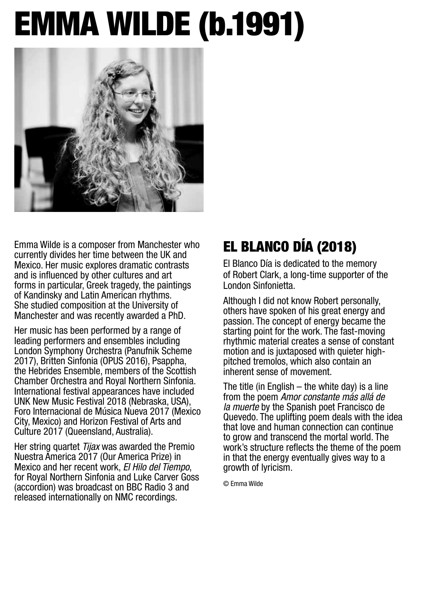# Emma Wilde (b.1991)



Emma Wilde is a composer from Manchester who currently divides her time between the UK and Mexico. Her music explores dramatic contrasts and is influenced by other cultures and art forms in particular, Greek tragedy, the paintings of Kandinsky and Latin American rhythms. She studied composition at the University of Manchester and was recently awarded a PhD.

Her music has been performed by a range of leading performers and ensembles including London Symphony Orchestra (Panufnik Scheme 2017), Britten Sinfonia (OPUS 2016), Psappha, the Hebrides Ensemble, members of the Scottish Chamber Orchestra and Royal Northern Sinfonia. International festival appearances have included UNK New Music Festival 2018 (Nebraska, USA), Foro Internacional de Música Nueva 2017 (Mexico City, Mexico) and Horizon Festival of Arts and Culture 2017 (Queensland, Australia).

Her string quartet Tijax was awarded the Premio Nuestra America 2017 (Our America Prize) in Mexico and her recent work, El Hilo del Tiempo, for Royal Northern Sinfonia and Luke Carver Goss (accordion) was broadcast on BBC Radio 3 and released internationally on NMC recordings.

## El Blanco Día (2018)

El Blanco Día is dedicated to the memory of Robert Clark, a long-time supporter of the London Sinfonietta.

Although I did not know Robert personally, others have spoken of his great energy and passion. The concept of energy became the starting point for the work. The fast-moving rhythmic material creates a sense of constant motion and is juxtaposed with quieter highpitched tremolos, which also contain an inherent sense of movement.

The title (in English  $-$  the white day) is a line from the poem Amor constante más allá de la muerte by the Spanish poet Francisco de Quevedo. The uplifting poem deals with the idea that love and human connection can continue to grow and transcend the mortal world. The work's structure reflects the theme of the poem in that the energy eventually gives way to a growth of lyricism.

© Emma Wilde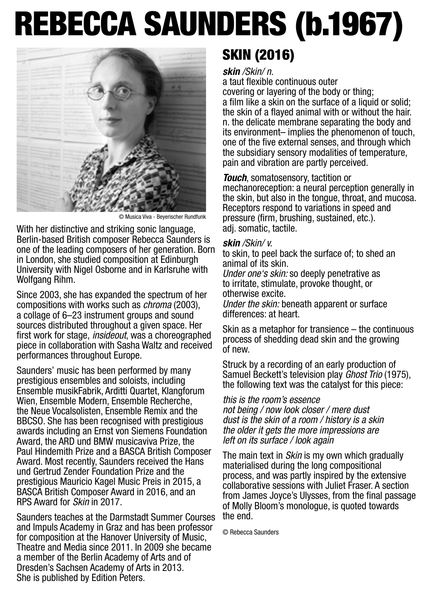# Rebecca Saunders (b.1967)



© Musica Viva - Beyerischer Rundfunk

With her distinctive and striking sonic language. Berlin-based British composer Rebecca Saunders is one of the leading composers of her generation. Born in London, she studied composition at Edinburgh University with Nigel Osborne and in Karlsruhe with Wolfgang Rihm.

Since 2003, she has expanded the spectrum of her compositions with works such as chroma (2003), a collage of 6–23 instrument groups and sound sources distributed throughout a given space. Her first work for stage, insideout, was a choreographed piece in collaboration with Sasha Waltz and received performances throughout Europe.

Saunders' music has been performed by many prestigious ensembles and soloists, including Ensemble musikFabrik, Arditti Quartet, Klangforum Wien, Ensemble Modern, Ensemble Recherche, the Neue Vocalsolisten, Ensemble Remix and the BBCSO. She has been recognised with prestigious awards including an Ernst von Siemens Foundation Award, the ARD und BMW musicaviva Prize, the Paul Hindemith Prize and a BASCA British Composer Award. Most recently, Saunders received the Hans und Gertrud Zender Foundation Prize and the prestigious Mauricio Kagel Music Preis in 2015, a BASCA British Composer Award in 2016, and an RPS Award for Skin in 2017.

Saunders teaches at the Darmstadt Summer Courses and Impuls Academy in Graz and has been professor for composition at the Hanover University of Music, Theatre and Media since 2011. In 2009 she became a member of the Berlin Academy of Arts and of Dresden's Sachsen Academy of Arts in 2013. She is published by Edition Peters.

## SKIN (2016)

#### skin /Skin/ n.

a taut flexible continuous outer covering or layering of the body or thing; a film like a skin on the surface of a liquid or solid; the skin of a flayed animal with or without the hair. n. the delicate membrane separating the body and its environment– implies the phenomenon of touch, one of the five external senses, and through which the subsidiary sensory modalities of temperature, pain and vibration are partly perceived.

**Touch**, somatosensory, tactition or mechanoreception: a neural perception generally in the skin, but also in the tongue, throat, and mucosa. Receptors respond to variations in speed and pressure (firm, brushing, sustained, etc.). adj. somatic, tactile.

#### skin / Skin / v.

to skin, to peel back the surface of; to shed an animal of its skin.

Under one's skin: so deeply penetrative as to irritate, stimulate, provoke thought, or otherwise excite.

Under the skin: beneath apparent or surface differences: at heart.

Skin as a metaphor for transience – the continuous process of shedding dead skin and the growing of new.

Struck by a recording of an early production of Samuel Beckett's television play Ghost Trio (1975), the following text was the catalyst for this piece:

#### this is the room's essence

not being / now look closer / mere dust dust is the skin of a room / history is a skin the older it gets the more impressions are left on its surface / look again

The main text in *Skin* is my own which gradually materialised during the long compositional process, and was partly inspired by the extensive collaborative sessions with Juliet Fraser. A section from James Joyce's Ulysses, from the final passage of Molly Bloom's monologue, is quoted towards the end.

© Rebecca Saunders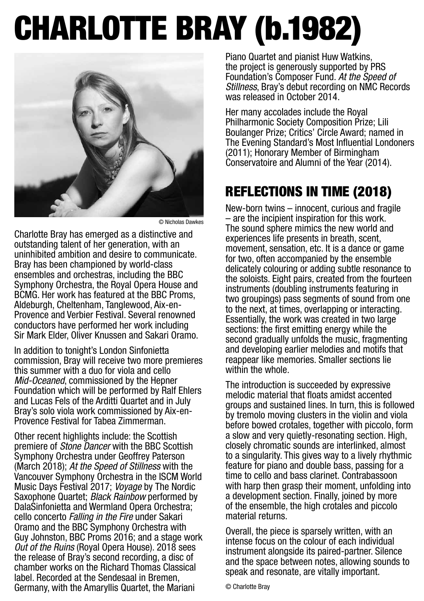# Charlotte BRay (b.1982)



© Nicholas Dawkes

Charlotte Bray has emerged as a distinctive and outstanding talent of her generation, with an uninhibited ambition and desire to communicate. Bray has been championed by world-class ensembles and orchestras, including the BBC Symphony Orchestra, the Royal Opera House and BCMG. Her work has featured at the BBC Proms, Aldeburgh, Cheltenham, Tanglewood, Aix-en-Provence and Verbier Festival. Several renowned conductors have performed her work including Sir Mark Elder, Oliver Knussen and Sakari Oramo.

In addition to tonight's London Sinfonietta commission, Bray will receive two more premieres this summer with a duo for viola and cello Mid-Oceaned, commissioned by the Hepner Foundation which will be performed by Ralf Ehlers and Lucas Fels of the Arditti Quartet and in July Bray's solo viola work commissioned by Aix-en-Provence Festival for Tabea Zimmerman.

Other recent highlights include: the Scottish premiere of *Stone Dancer* with the BBC Scottish Symphony Orchestra under Geoffrey Paterson (March 2018); At the Speed of Stillness with the Vancouver Symphony Orchestra in the ISCM World Music Days Festival 2017; Voyage by The Nordic Saxophone Quartet; Black Rainbow performed by DalaSinfonietta and Wermland Opera Orchestra; cello concerto Falling in the Fire under Sakari Oramo and the BBC Symphony Orchestra with Guy Johnston, BBC Proms 2016; and a stage work Out of the Ruins (Royal Opera House). 2018 sees the release of Bray's second recording, a disc of chamber works on the Richard Thomas Classical label. Recorded at the Sendesaal in Bremen, Germany, with the Amaryllis Quartet, the Mariani

Piano Quartet and pianist Huw Watkins, the project is generously supported by PRS Foundation's Composer Fund. At the Speed of Stillness, Bray's debut recording on NMC Records was released in October 2014.

Her many accolades include the Royal Philharmonic Society Composition Prize; Lili Boulanger Prize; Critics' Circle Award; named in The Evening Standard's Most Influential Londoners (2011); Honorary Member of Birmingham Conservatoire and Alumni of the Year (2014).

## Reflections in Time (2018)

New-born twins – innocent, curious and fragile – are the incipient inspiration for this work. The sound sphere mimics the new world and experiences life presents in breath, scent, movement, sensation, etc. It is a dance or game for two, often accompanied by the ensemble delicately colouring or adding subtle resonance to the soloists. Eight pairs, created from the fourteen instruments (doubling instruments featuring in two groupings) pass segments of sound from one to the next, at times, overlapping or interacting. Essentially, the work was created in two large sections: the first emitting energy while the second gradually unfolds the music, fragmenting and developing earlier melodies and motifs that reappear like memories. Smaller sections lie within the whole.

The introduction is succeeded by expressive melodic material that floats amidst accented groups and sustained lines. In turn, this is followed by tremolo moving clusters in the violin and viola before bowed crotales, together with piccolo, form a slow and very quietly-resonating section. High, closely chromatic sounds are interlinked, almost to a singularity. This gives way to a lively rhythmic feature for piano and double bass, passing for a time to cello and bass clarinet. Contrabassoon with harp then grasp their moment, unfolding into a development section. Finally, joined by more of the ensemble, the high crotales and piccolo material returns.

Overall, the piece is sparsely written, with an intense focus on the colour of each individual instrument alongside its paired-partner. Silence and the space between notes, allowing sounds to speak and resonate, are vitally important.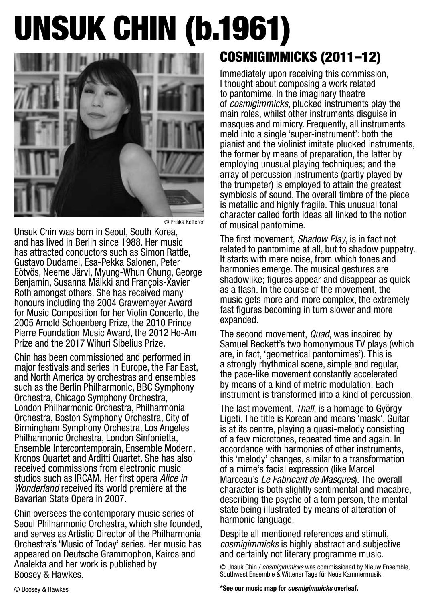# UNsuk chin (b.1961)



© Priska Ketterer

Unsuk Chin was born in Seoul, South Korea, and has lived in Berlin since 1988. Her music has attracted conductors such as Simon Rattle, Gustavo Dudamel, Esa-Pekka Salonen, Peter Eötvös, Neeme Järvi, Myung-Whun Chung, George Benjamin, Susanna Mälkki and François-Xavier Roth amongst others. She has received many honours including the 2004 Grawemeyer Award for Music Composition for her Violin Concerto, the 2005 Arnold Schoenberg Prize, the 2010 Prince Pierre Foundation Music Award, the 2012 Ho-Am Prize and the 2017 Wihuri Sibelius Prize.

Chin has been commissioned and performed in major festivals and series in Europe, the Far East, and North America by orchestras and ensembles such as the Berlin Philharmonic, BBC Symphony Orchestra, Chicago Symphony Orchestra, London Philharmonic Orchestra, Philharmonia Orchestra, Boston Symphony Orchestra, City of Birmingham Symphony Orchestra, Los Angeles Philharmonic Orchestra, London Sinfonietta, Ensemble Intercontemporain, Ensemble Modern, Kronos Quartet and Arditti Quartet. She has also received commissions from electronic music studios such as IRCAM. Her first opera Alice in Wonderland received its world première at the Bavarian State Opera in 2007.

Chin oversees the contemporary music series of Seoul Philharmonic Orchestra, which she founded, and serves as Artistic Director of the Philharmonia Orchestra's 'Music of Today' series. Her music has appeared on Deutsche Grammophon, Kairos and Analekta and her work is published by Boosey & Hawkes.

## COSMIGIMMICKS (2011–12)

Immediately upon receiving this commission, I thought about composing a work related to pantomime. In the imaginary theatre of cosmigimmicks, plucked instruments play the main roles, whilst other instruments disguise in masques and mimicry. Frequently, all instruments meld into a single 'super-instrument': both the pianist and the violinist imitate plucked instruments, the former by means of preparation, the latter by employing unusual playing techniques; and the array of percussion instruments (partly played by the trumpeter) is employed to attain the greatest symbiosis of sound. The overall timbre of the piece is metallic and highly fragile. This unusual tonal character called forth ideas all linked to the notion of musical pantomime.

The first movement, Shadow Play, is in fact not related to pantomime at all, but to shadow puppetry. It starts with mere noise, from which tones and harmonies emerge. The musical gestures are shadowlike; figures appear and disappear as quick as a flash. In the course of the movement, the music gets more and more complex, the extremely fast figures becoming in turn slower and more expanded.

The second movement, *Quad*, was inspired by Samuel Beckett's two homonymous TV plays (which are, in fact, 'geometrical pantomimes'). This is a strongly rhythmical scene, simple and regular, the pace-like movement constantly accelerated by means of a kind of metric modulation. Each instrument is transformed into a kind of percussion.

The last movement, Thall, is a homage to György Ligeti. The title is Korean and means 'mask'. Guitar is at its centre, playing a quasi-melody consisting of a few microtones, repeated time and again. In accordance with harmonies of other instruments, this 'melody' changes, similar to a transformation of a mime's facial expression (like Marcel Marceau's Le Fabricant de Masques). The overall character is both slightly sentimental and macabre, describing the psyche of a torn person, the mental state being illustrated by means of alteration of harmonic language.

Despite all mentioned references and stimuli, cosmigimmicks is highly abstract and subjective and certainly not literary programme music.

© Unsuk Chin / cosmigimmicks was commissioned by Nieuw Ensemble, Southwest Ensemble & Wittener Tage für Neue Kammermusik.

**\*See our music map for** cosmigimmicks **overleaf.**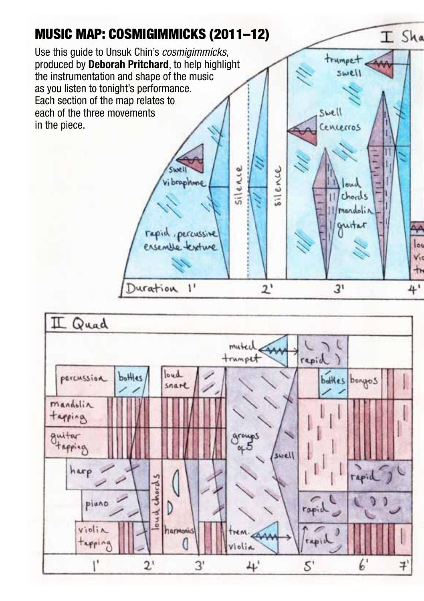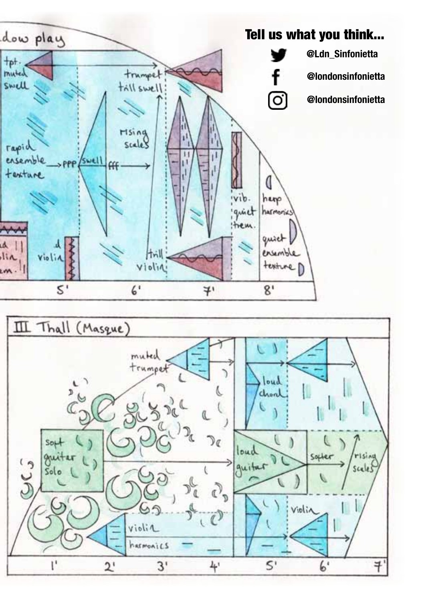

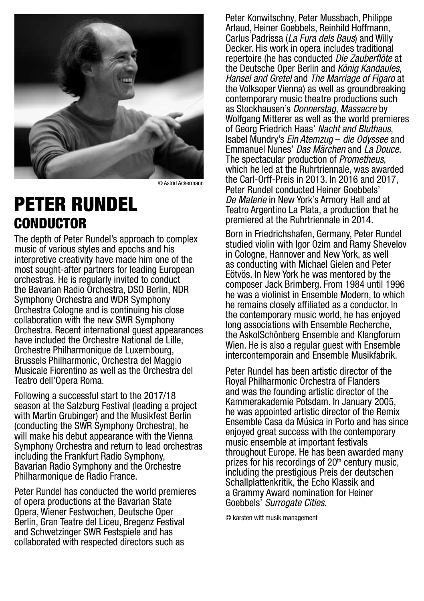

© Astrid Ackermann

## PETER RUNDEL **CONDUCTOR**

The depth of Peter Rundel's approach to complex music of various styles and epochs and his interpretive creativity have made him one of the most sought-after partners for leading European orchestras. He is regularly invited to conduct the Bavarian Radio Orchestra, DSO Berlin, NDR Symphony Orchestra and WDR Symphony Orchestra Cologne and is continuing his close collaboration with the new SWR Symphony Orchestra. Recent international guest appearances have included the Orchestre National de Lille, Orchestre Philharmonique de Luxembourg, Brussels Philharmonic, Orchestra del Maggio Musicale Fiorentino as well as the Orchestra del Teatro dell'Opera Roma.

Following a successful start to the 2017/18 season at the Salzburg Festival (leading a project with Martin Grubinger) and the Musikfest Berlin (conducting the SWR Symphony Orchestra), he will make his debut appearance with the Vienna Symphony Orchestra and return to lead orchestras including the Frankfurt Radio Symphony, Bavarian Radio Symphony and the Orchestre Philharmonique de Radio France.

Peter Rundel has conducted the world premieres of opera productions at the Bavarian State Opera, Wiener Festwochen, Deutsche Oper Berlin, Gran Teatre del Liceu, Bregenz Festival and Schwetzinger SWR Festspiele and has collaborated with respected directors such as

Peter Konwitschny, Peter Mussbach, Philippe Arlaud, Heiner Goebbels, Reinhild Hoffmann, Carlus Padrissa (La Fura dels Baus) and Willy Decker. His work in opera includes traditional repertoire (he has conducted *Die Zauberflöte* at the Deutsche Oper Berlin and König Kandaules. Hansel and Gretel and The Marriage of Figaro at the Volksoper Vienna) as well as groundbreaking contemporary music theatre productions such as Stockhausen's Donnerstag, Massacre by Wolfgang Mitterer as well as the world premieres of Georg Friedrich Haas' Nacht and Bluthaus, Isabel Mundry's Ein Atemzug – die Odyssee and Emmanuel Nunes' Das Märchen and La Douce. The spectacular production of *Prometheus*. which he led at the Ruhrtriennale, was awarded the Carl-Orff-Preis in 2013. In 2016 and 2017, Peter Rundel conducted Heiner Goebbels' De Materie in New York's Armory Hall and at Teatro Argentino La Plata, a production that he premiered at the Ruhrtriennale in 2014.

Born in Friedrichshafen, Germany, Peter Rundel studied violin with Igor Ozim and Ramy Shevelov in Cologne, Hannover and New York, as well as conducting with Michael Gielen and Peter Eötvös. In New York he was mentored by the composer Jack Brimberg. From 1984 until 1996 he was a violinist in Ensemble Modern, to which he remains closely affiliated as a conductor. In the contemporary music world, he has enjoyed long associations with Ensemble Recherche, the Asko|Schönberg Ensemble and Klangforum Wien. He is also a regular quest with Ensemble intercontemporain and Ensemble Musikfabrik.

Peter Rundel has been artistic director of the Royal Philharmonic Orchestra of Flanders and was the founding artistic director of the Kammerakademie Potsdam. In January 2005, he was appointed artistic director of the Remix Ensemble Casa da Música in Porto and has since enjoyed great success with the contemporary music ensemble at important festivals throughout Europe. He has been awarded many prizes for his recordings of  $20<sup>th</sup>$  century music. including the prestigious Preis der deutschen Schallplattenkritik, the Echo Klassik and a Grammy Award nomination for Heiner Goebbels' Surrogate Cities.

© karsten witt musik management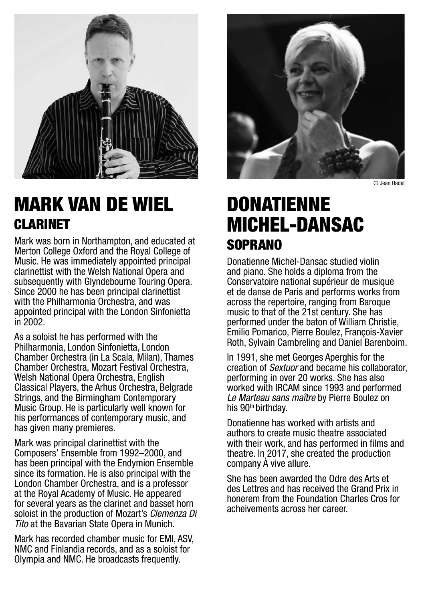

# MARK VAN DE WIEL Clarinet

Mark was born in Northampton, and educated at Merton College Oxford and the Royal College of Music. He was immediately appointed principal clarinettist with the Welsh National Opera and subsequently with Glyndebourne Touring Opera. Since 2000 he has been principal clarinettist with the Philharmonia Orchestra, and was appointed principal with the London Sinfonietta in 2002.

As a soloist he has performed with the Philharmonia, London Sinfonietta, London Chamber Orchestra (in La Scala, Milan), Thames Chamber Orchestra, Mozart Festival Orchestra, Welsh National Opera Orchestra, English Classical Players, the Arhus Orchestra, Belgrade Strings, and the Birmingham Contemporary Music Group. He is particularly well known for his performances of contemporary music, and has given many premieres.

Mark was principal clarinettist with the Composers' Ensemble from 1992–2000, and has been principal with the Endymion Ensemble since its formation. He is also principal with the London Chamber Orchestra, and is a professor at the Royal Academy of Music. He appeared for several years as the clarinet and basset horn soloist in the production of Mozart's *Clemenza Di* Tito at the Bavarian State Opera in Munich.

Mark has recorded chamber music for EMI, ASV, NMC and Finlandia records, and as a soloist for Olympia and NMC. He broadcasts frequently.



© Jean Radel

# **DONATIENNE** Michel-Dansac soprano

Donatienne Michel-Dansac studied violin and piano. She holds a diploma from the Conservatoire national supérieur de musique et de danse de Paris and performs works from across the repertoire, ranging from Baroque music to that of the 21st century. She has performed under the baton of William Christie, Emilio Pomarico, Pierre Boulez, François-Xavier Roth, Sylvain Cambreling and Daniel Barenboim.

In 1991, she met Georges Aperghis for the creation of *Sextuor* and became his collaborator. performing in over 20 works. She has also worked with IRCAM since 1993 and performed Le Marteau sans maître by Pierre Boulez on his 90<sup>th</sup> birthday.

Donatienne has worked with artists and authors to create music theatre associated with their work, and has performed in films and theatre. In 2017, she created the production company À vive allure.

She has been awarded the Odre des Arts et des Lettres and has received the Grand Prix in honerem from the Foundation Charles Cros for acheivements across her career.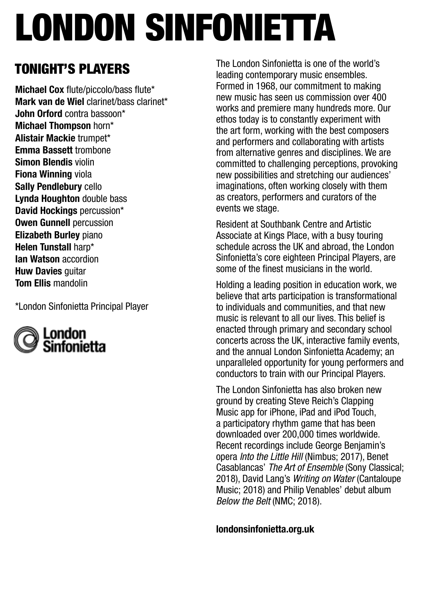# london sinfonietta

## Tonight's players

Michael Cox flute/piccolo/bass flute\* Mark van de Wiel clarinet/bass clarinet\* John Orford contra bassoon\* Michael Thompson horn\* Alistair Mackie trumpet\* Emma Bassett trombone Simon Blendis violin Fiona Winning viola Sally Pendlebury cello Lynda Houghton double bass David Hockings percussion\* Owen Gunnell percussion Elizabeth Burley piano Helen Tunstall harp\* Ian Watson accordion **Huw Davies quitar** Tom Ellis mandolin

\*London Sinfonietta Principal Player



The London Sinfonietta is one of the world's leading contemporary music ensembles. Formed in 1968, our commitment to making new music has seen us commission over 400 works and premiere many hundreds more. Our ethos today is to constantly experiment with the art form, working with the best composers and performers and collaborating with artists from alternative genres and disciplines. We are committed to challenging perceptions, provoking new possibilities and stretching our audiences' imaginations, often working closely with them as creators, performers and curators of the events we stage.

Resident at Southbank Centre and Artistic Associate at Kings Place, with a busy touring schedule across the UK and abroad, the London Sinfonietta's core eighteen Principal Players, are some of the finest musicians in the world.

Holding a leading position in education work, we believe that arts participation is transformational to individuals and communities, and that new music is relevant to all our lives. This belief is enacted through primary and secondary school concerts across the UK, interactive family events, and the annual London Sinfonietta Academy; an unparalleled opportunity for young performers and conductors to train with our Principal Players.

The London Sinfonietta has also broken new ground by creating Steve Reich's Clapping Music app for iPhone, iPad and iPod Touch, a participatory rhythm game that has been downloaded over 200,000 times worldwide. Recent recordings include George Benjamin's opera Into the Little Hill (Nimbus; 2017), Benet Casablancas' The Art of Ensemble (Sony Classical; 2018), David Lang's Writing on Water (Cantaloupe Music; 2018) and Philip Venables' debut album Below the Belt (NMC; 2018).

londonsinfonietta.org.uk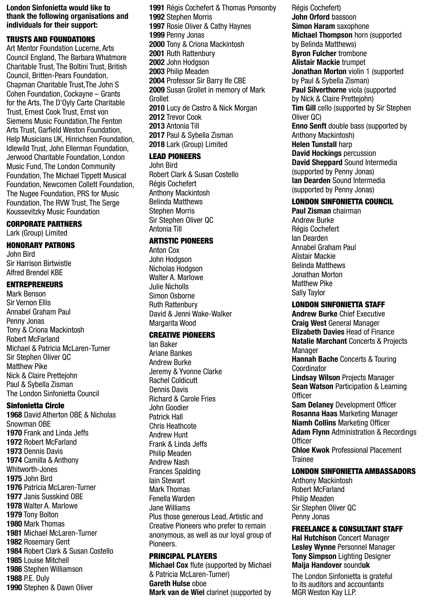#### London Sinfonietta would like to thank the following organisations and individuals for their support:

#### TRUSTS AND FOUNDATIONS

Art Mentor Foundation Lucerne, Arts Council England, The Barbara Whatmore Charitable Trust, The Boltini Trust, British Council, Britten-Pears Foundation, Chapman Charitable Trust,The John S Cohen Foundation, Cockayne – Grants for the Arts, The D'Oyly Carte Charitable Trust, Ernest Cook Trust, Ernst von Siemens Music Foundation,The Fenton Arts Trust, Garfield Weston Foundation, Help Musicians UK, Hinrichsen Foundation, Idlewild Trust, John Ellerman Foundation, Jerwood Charitable Foundation, London Music Fund, The London Community Foundation, The Michael Tippett Musical Foundation, Newcomen Collett Foundation, The Nugee Foundation, PRS for Music Foundation, The RVW Trust, The Serge Koussevitzky Music Foundation

#### CORPORATE PARTNERS

Lark (Group) Limited

#### HONORARY PATRONS

John Bird Sir Harrison Birtwistle Alfred Brendel KBE

#### ENTREPRENEURS

Mark Benson Sir Vernon Ellis Annabel Graham Paul Penny Jonas Tony & Criona Mackintosh Robert McFarland Michael & Patricia McLaren-Turner Sir Stephen Oliver QC Matthew Pike Nick & Claire Prettejohn Paul & Sybella Zisman The London Sinfonietta Council

#### Sinfonietta Circle

 David Atherton OBE & Nicholas Snowman OBE 1970 Frank and Linda Jeffs Robert McFarland Dennis Davis Camilla & Anthony Whitworth-Jones John Bird Patricia McLaren-Turner Janis Susskind OBE Walter A. Marlowe Tony Bolton Mark Thomas Michael McLaren-Turner Rosemary Gent Robert Clark & Susan Costello Louise Mitchell Stephen Williamson P.E. Duly Stephen & Dawn Oliver

 Régis Cochefert & Thomas Ponsonby Stephen Morris Rosie Oliver & Cathy Haynes Penny Jonas Tony & Criona Mackintosh Ruth Rattenbury 2002 John Hodgson Philip Meaden Professor Sir Barry Ife CBE Susan Grollet in memory of Mark Grollet Lucy de Castro & Nick Morgan 2012 Trevor Cook Antonia Till Paul & Sybella Zisman 2018 Lark (Group) Limited

#### LEAD PIONEERS

John Bird Robert Clark & Susan Costello Régis Cochefert Anthony Mackintosh Belinda Matthews Stephen Morris Sir Stephen Oliver QC Antonia Till

#### ARTISTIC PIONEERS

Anton Cox John Hodgson Nicholas Hodgson Walter A Marlowe Julie Nicholls Simon Osborne Ruth Rattenbury David & Jenni Wake-Walker Margarita Wood

#### CREATIVE PIONEERS

Ian Baker Ariane Bankes Andrew Burke Jeremy & Yvonne Clarke Rachel Coldicutt Dennis Davis Richard & Carole Fries John Goodier Patrick Hall Chris Heathcote Andrew Hunt Frank & Linda Jeffs Philip Meaden Andrew Nash Frances Spalding Iain Stewart Mark Thomas Fenella Warden Jane Williams Plus those generous Lead, Artistic and Creative Pioneers who prefer to remain anonymous, as well as our loyal group of Pioneers.

#### PRINCIPAL PLAYERS

Michael Cox flute (supported by Michael & Patricia McLaren-Turner) Gareth Hulse oboe Mark van de Wiel clarinet (supported by

Régis Cochefert) John Orford bassoon Simon Haram saxophone Michael Thompson horn (supported by Belinda Matthews) Byron Fulcher trombone Alistair Mackie trumpet Jonathan Morton violin 1 (supported by Paul & Sybella Zisman) Paul Silverthorne viola (supported by Nick & Claire Prettejohn) Tim Gill cello (supported by Sir Stephen Oliver QC) Enno Senft double bass (supported by Anthony Mackintosh) Helen Tunstall harp David Hockings percussion David Sheppard Sound Intermedia (supported by Penny Jonas) Ian Dearden Sound Intermedia (supported by Penny Jonas)

#### LONDON SINFONIETTA COUNCIL

Paul Zisman chairman Andrew Burke Régis Cochefert Ian Dearden Annabel Graham Paul Alistair Mackie Belinda Matthews Jonathan Morton Matthew Pike Sally Taylor

#### LONDON SINFONIETTA STAFF

Andrew Burke Chief Executive Craig West General Manager Elizabeth Davies Head of Finance Natalie Marchant Concerts & Projects Manager Hannah Bache Concerts & Touring Coordinator Lindsay Wilson Projects Manager **Sean Watson Participation & Learning** Officer **Sam Delaney Development Officer** Rosanna Haas Marketing Manager Niamh Collins Marketing Officer **Adam Flynn Administration & Recordings** Officer Chloe Kwok Professional Placement Trainee

#### LONDON SINFONIETTA AMBASSADORS

Anthony Mackintosh Robert McFarland Philip Meaden Sir Stephen Oliver QC Penny Jonas

#### FREELANCE & CONSULTANT STAFF

Hal Hutchison Concert Manager Lesley Wynne Personnel Manager **Tony Simpson Lighting Designer** Maija Handover sounduk

The London Sinfonietta is grateful to its auditors and accountants MGR Weston Kay LLP.